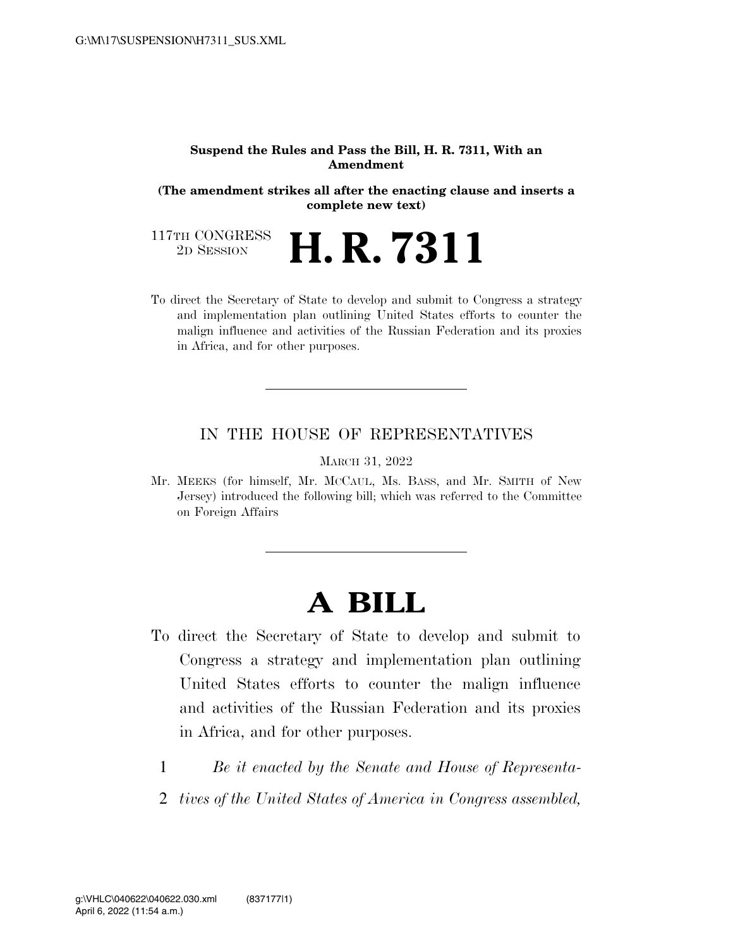#### **Suspend the Rules and Pass the Bill, H. R. 7311, With an Amendment**

**(The amendment strikes all after the enacting clause and inserts a complete new text)** 

117TH CONGRESS<br>2D SESSION 2D SESSION **H. R. 7311** 

To direct the Secretary of State to develop and submit to Congress a strategy and implementation plan outlining United States efforts to counter the malign influence and activities of the Russian Federation and its proxies in Africa, and for other purposes.

### IN THE HOUSE OF REPRESENTATIVES

MARCH 31, 2022

Mr. MEEKS (for himself, Mr. MCCAUL, Ms. BASS, and Mr. SMITH of New Jersey) introduced the following bill; which was referred to the Committee on Foreign Affairs

# **A BILL**

- To direct the Secretary of State to develop and submit to Congress a strategy and implementation plan outlining United States efforts to counter the malign influence and activities of the Russian Federation and its proxies in Africa, and for other purposes.
	- 1 *Be it enacted by the Senate and House of Representa-*
	- 2 *tives of the United States of America in Congress assembled,*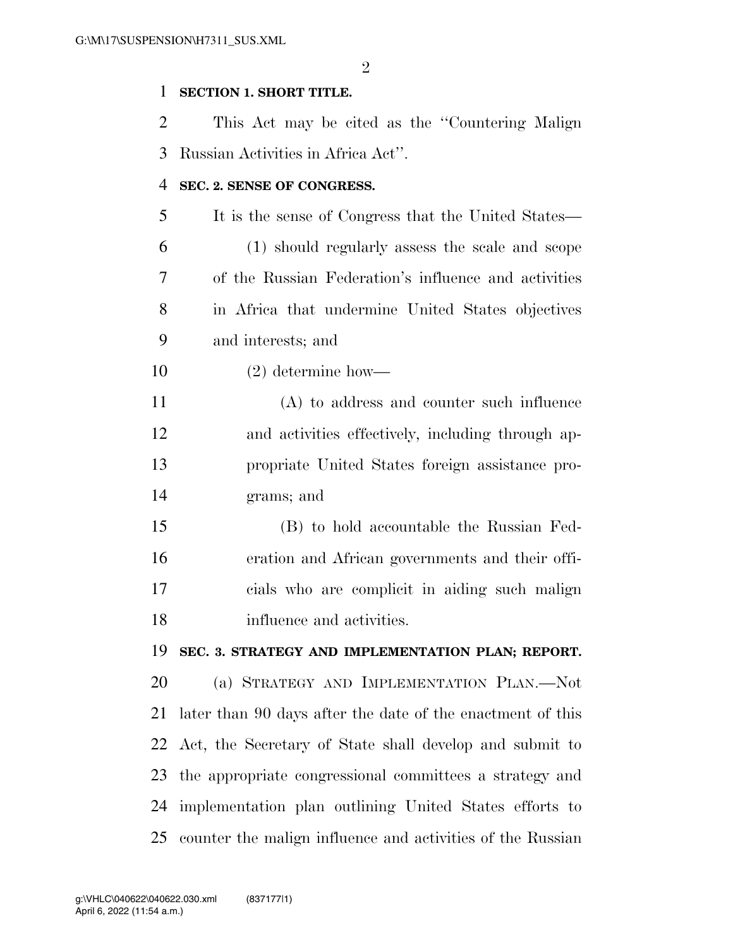$\mathfrak{D}$ 

#### **SECTION 1. SHORT TITLE.**

 This Act may be cited as the ''Countering Malign Russian Activities in Africa Act''.

#### **SEC. 2. SENSE OF CONGRESS.**

- It is the sense of Congress that the United States— (1) should regularly assess the scale and scope of the Russian Federation's influence and activities in Africa that undermine United States objectives
- and interests; and
- (2) determine how—

 (A) to address and counter such influence and activities effectively, including through ap- propriate United States foreign assistance pro-grams; and

 (B) to hold accountable the Russian Fed- eration and African governments and their offi- cials who are complicit in aiding such malign influence and activities.

## **SEC. 3. STRATEGY AND IMPLEMENTATION PLAN; REPORT.**

 (a) STRATEGY AND IMPLEMENTATION PLAN.—Not later than 90 days after the date of the enactment of this Act, the Secretary of State shall develop and submit to the appropriate congressional committees a strategy and implementation plan outlining United States efforts to counter the malign influence and activities of the Russian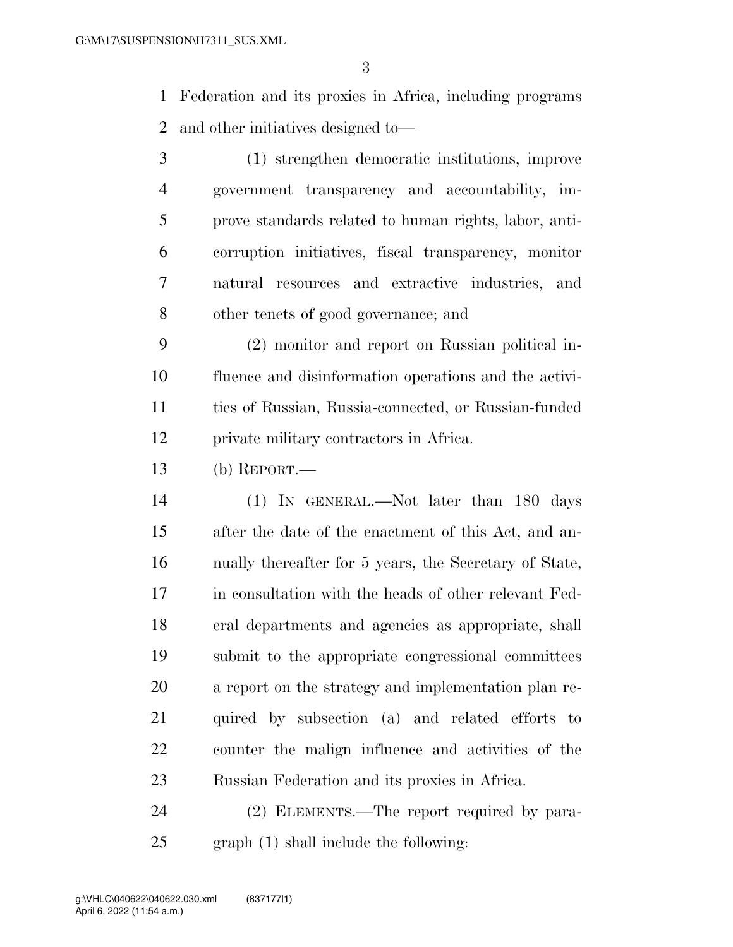Federation and its proxies in Africa, including programs and other initiatives designed to—

 (1) strengthen democratic institutions, improve government transparency and accountability, im- prove standards related to human rights, labor, anti- corruption initiatives, fiscal transparency, monitor natural resources and extractive industries, and other tenets of good governance; and

 (2) monitor and report on Russian political in- fluence and disinformation operations and the activi- ties of Russian, Russia-connected, or Russian-funded private military contractors in Africa.

(b) REPORT.—

 (1) IN GENERAL.—Not later than 180 days after the date of the enactment of this Act, and an- nually thereafter for 5 years, the Secretary of State, in consultation with the heads of other relevant Fed- eral departments and agencies as appropriate, shall submit to the appropriate congressional committees a report on the strategy and implementation plan re- quired by subsection (a) and related efforts to counter the malign influence and activities of the Russian Federation and its proxies in Africa.

 (2) ELEMENTS.—The report required by para-graph (1) shall include the following: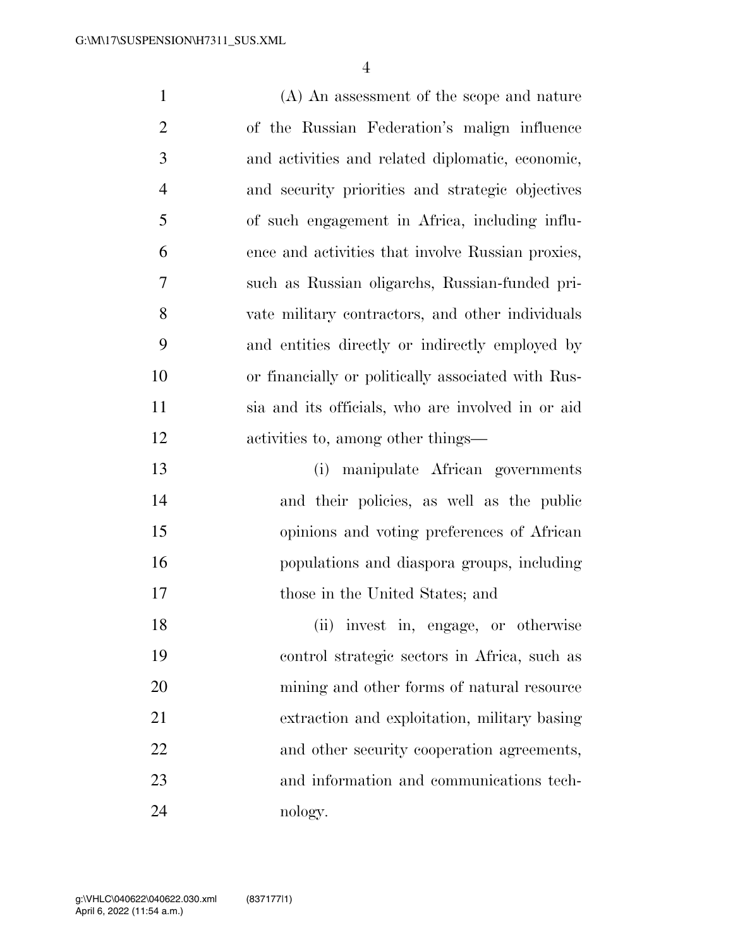(A) An assessment of the scope and nature of the Russian Federation's malign influence and activities and related diplomatic, economic, and security priorities and strategic objectives of such engagement in Africa, including influ- ence and activities that involve Russian proxies, such as Russian oligarchs, Russian-funded pri- vate military contractors, and other individuals and entities directly or indirectly employed by or financially or politically associated with Rus- sia and its officials, who are involved in or aid activities to, among other things— (i) manipulate African governments and their policies, as well as the public opinions and voting preferences of African populations and diaspora groups, including those in the United States; and (ii) invest in, engage, or otherwise control strategic sectors in Africa, such as mining and other forms of natural resource extraction and exploitation, military basing 22 and other security cooperation agreements, and information and communications tech-

nology.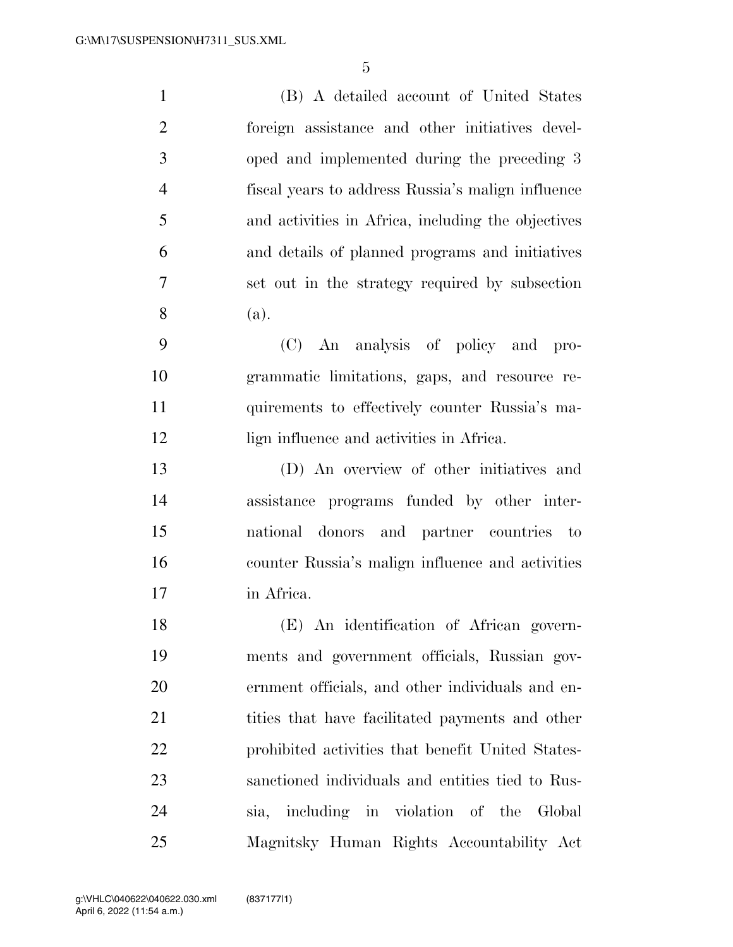(B) A detailed account of United States foreign assistance and other initiatives devel- oped and implemented during the preceding 3 fiscal years to address Russia's malign influence and activities in Africa, including the objectives and details of planned programs and initiatives set out in the strategy required by subsection (a). (C) An analysis of policy and pro-grammatic limitations, gaps, and resource re-

lign influence and activities in Africa.

 (D) An overview of other initiatives and assistance programs funded by other inter- national donors and partner countries to counter Russia's malign influence and activities in Africa.

quirements to effectively counter Russia's ma-

 (E) An identification of African govern- ments and government officials, Russian gov- ernment officials, and other individuals and en-21 tities that have facilitated payments and other prohibited activities that benefit United States- sanctioned individuals and entities tied to Rus- sia, including in violation of the Global Magnitsky Human Rights Accountability Act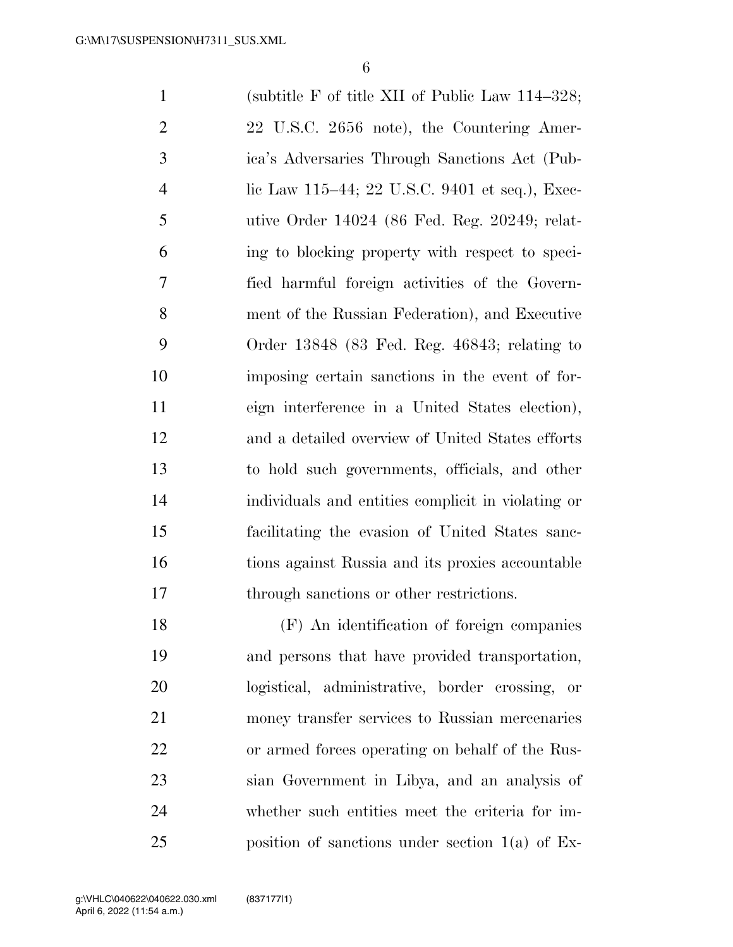(subtitle F of title XII of Public Law 114–328; 2 22 U.S.C. 2656 note), the Countering Amer- ica's Adversaries Through Sanctions Act (Pub- lic Law 115–44; 22 U.S.C. 9401 et seq.), Exec- utive Order 14024 (86 Fed. Reg. 20249; relat- ing to blocking property with respect to speci- fied harmful foreign activities of the Govern- ment of the Russian Federation), and Executive Order 13848 (83 Fed. Reg. 46843; relating to imposing certain sanctions in the event of for- eign interference in a United States election), and a detailed overview of United States efforts to hold such governments, officials, and other individuals and entities complicit in violating or facilitating the evasion of United States sanc- tions against Russia and its proxies accountable through sanctions or other restrictions.

 (F) An identification of foreign companies and persons that have provided transportation, logistical, administrative, border crossing, or money transfer services to Russian mercenaries or armed forces operating on behalf of the Rus- sian Government in Libya, and an analysis of whether such entities meet the criteria for im-position of sanctions under section 1(a) of Ex-